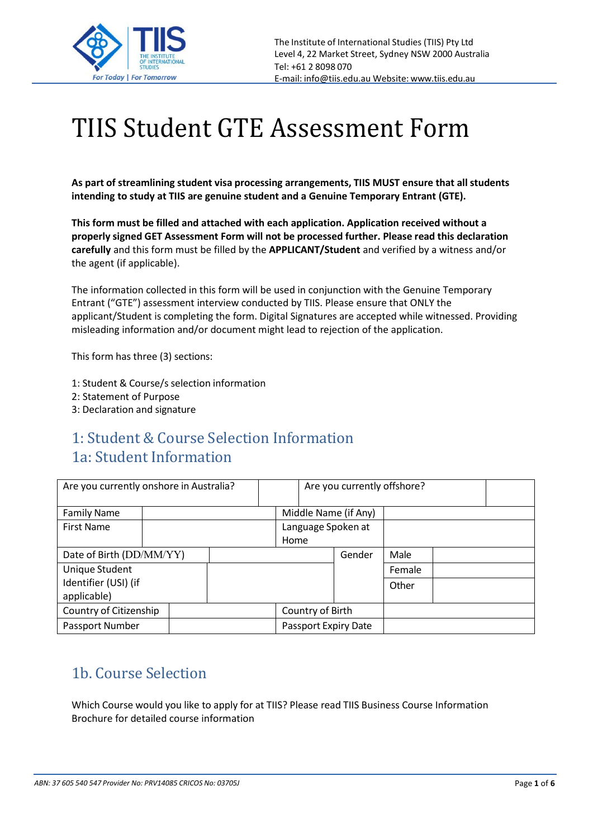

# TIIS Student GTE Assessment Form

**As part of streamlining student visa processing arrangements, TIIS MUST ensure that all students intending to study at TIIS are genuine student and a Genuine Temporary Entrant (GTE).**

**This form must be filled and attached with each application. Application received without a properly signed GET Assessment Form will not be processed further. Please read this declaration carefully** and this form must be filled by the **APPLICANT/Student** and verified by a witness and/or the agent (if applicable).

The information collected in this form will be used in conjunction with the Genuine Temporary Entrant ("GTE") assessment interview conducted by TIIS. Please ensure that ONLY the applicant/Student is completing the form. Digital Signatures are accepted while witnessed. Providing misleading information and/or document might lead to rejection of the application.

This form has three (3) sections:

- 1: Student & Course/s selection information
- 2: Statement of Purpose
- 3: Declaration and signature

#### 1: Student & Course Selection Information 1a: Student Information

| Are you currently onshore in Australia? |  |                      | Are you currently offshore? |                            |        |  |  |
|-----------------------------------------|--|----------------------|-----------------------------|----------------------------|--------|--|--|
| <b>Family Name</b>                      |  |                      |                             | Middle Name (if Any)       |        |  |  |
| <b>First Name</b>                       |  |                      |                             | Language Spoken at<br>Home |        |  |  |
| Date of Birth (DD/MM/YY)                |  |                      |                             | Gender                     | Male   |  |  |
| Unique Student                          |  |                      |                             |                            | Female |  |  |
| Identifier (USI) (if<br>applicable)     |  |                      |                             |                            | Other  |  |  |
| Country of Citizenship                  |  |                      | Country of Birth            |                            |        |  |  |
| Passport Number                         |  | Passport Expiry Date |                             |                            |        |  |  |

### 1b. Course Selection

Which Course would you like to apply for at TIIS? Please read TIIS Business Course Information Brochure for detailed course information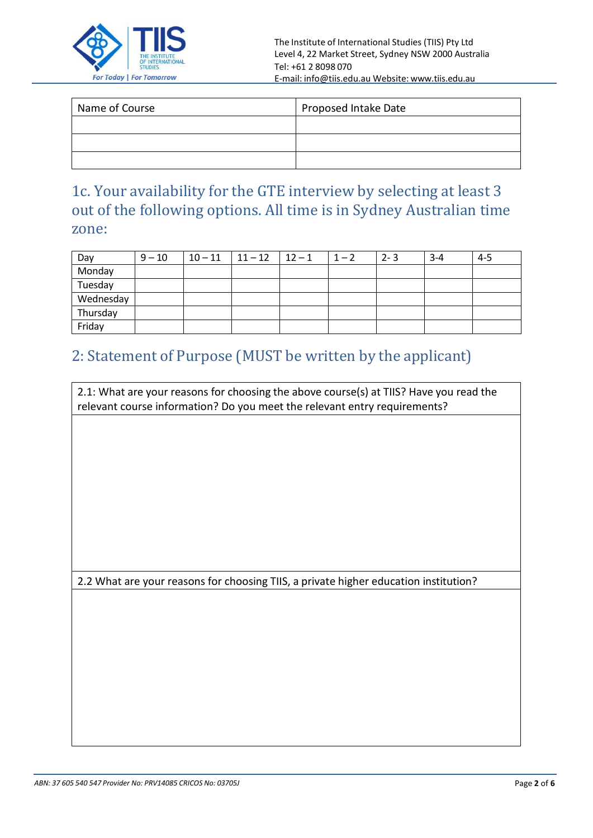

| Name of Course | Proposed Intake Date |  |
|----------------|----------------------|--|
|                |                      |  |
|                |                      |  |
|                |                      |  |

1c. Your availability for the GTE interview by selecting at least 3 out of the following options. All time is in Sydney Australian time zone:

| Day       | $9 - 10$ | $10 - 11$   $11 - 12$   $12 - 1$ | $1 - 2$ | $2 - 3$ | $3 - 4$ | $4 - 5$ |
|-----------|----------|----------------------------------|---------|---------|---------|---------|
| Monday    |          |                                  |         |         |         |         |
| Tuesday   |          |                                  |         |         |         |         |
| Wednesday |          |                                  |         |         |         |         |
| Thursday  |          |                                  |         |         |         |         |
| Friday    |          |                                  |         |         |         |         |

### 2: Statement of Purpose (MUST be written by the applicant)

2.1: What are your reasons for choosing the above course(s) at TIIS? Have you read the relevant course information? Do you meet the relevant entry requirements?

2.2 What are your reasons for choosing TIIS, a private higher education institution?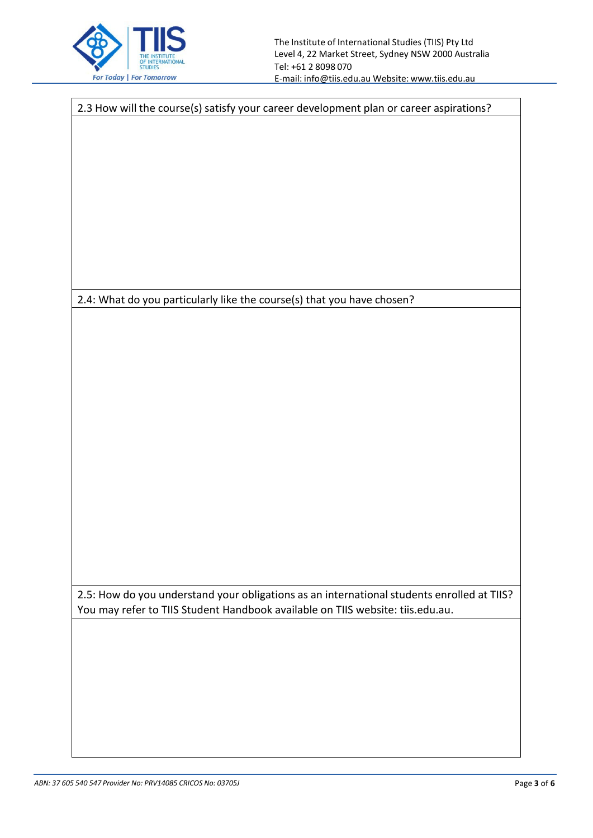

2.4: What do you particularly like the course(s) that you have chosen? 2.5: How do you understand your obligations as an international students enrolled at TIIS? You may refer to TIIS Student Handbook available on TIIS website: tiis.edu.au.

2.3 How will the course(s) satisfy your career development plan or career aspirations?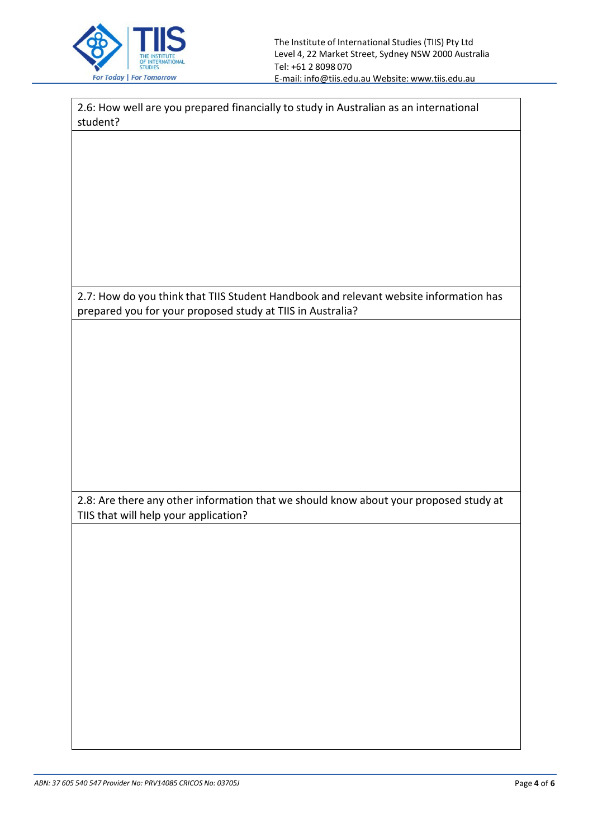

2.6: How well are you prepared financially to study in Australian as an international student?

2.7: How do you think that TIIS Student Handbook and relevant website information has prepared you for your proposed study at TIIS in Australia?

2.8: Are there any other information that we should know about your proposed study at TIIS that will help your application?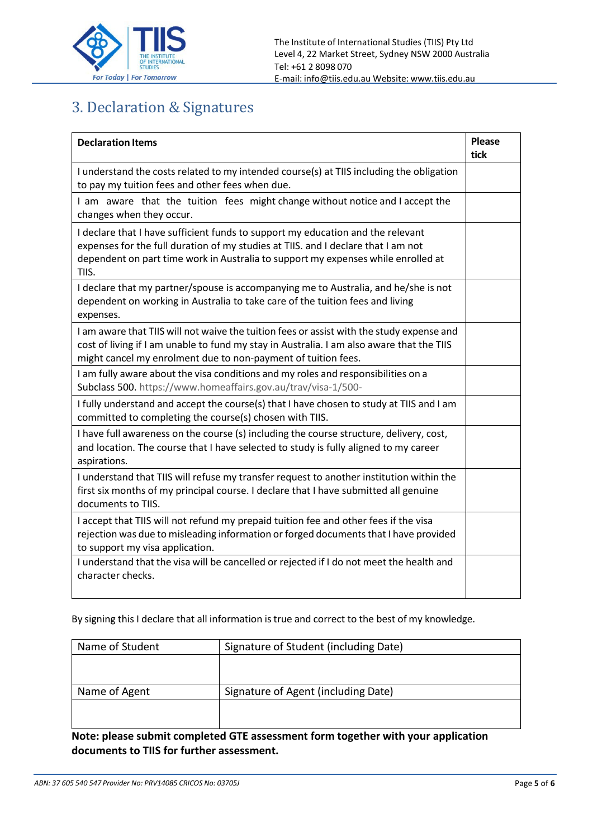

## 3. Declaration & Signatures

| <b>Declaration Items</b>                                                                                                                                                                                                                                           | <b>Please</b><br>tick |  |  |  |  |
|--------------------------------------------------------------------------------------------------------------------------------------------------------------------------------------------------------------------------------------------------------------------|-----------------------|--|--|--|--|
| I understand the costs related to my intended course(s) at TIIS including the obligation<br>to pay my tuition fees and other fees when due.                                                                                                                        |                       |  |  |  |  |
| I am aware that the tuition fees might change without notice and I accept the<br>changes when they occur.                                                                                                                                                          |                       |  |  |  |  |
| I declare that I have sufficient funds to support my education and the relevant<br>expenses for the full duration of my studies at TIIS. and I declare that I am not<br>dependent on part time work in Australia to support my expenses while enrolled at<br>TIIS. |                       |  |  |  |  |
| I declare that my partner/spouse is accompanying me to Australia, and he/she is not<br>dependent on working in Australia to take care of the tuition fees and living<br>expenses.                                                                                  |                       |  |  |  |  |
| I am aware that TIIS will not waive the tuition fees or assist with the study expense and<br>cost of living if I am unable to fund my stay in Australia. I am also aware that the TIIS<br>might cancel my enrolment due to non-payment of tuition fees.            |                       |  |  |  |  |
| I am fully aware about the visa conditions and my roles and responsibilities on a<br>Subclass 500. https://www.homeaffairs.gov.au/trav/visa-1/500-                                                                                                                 |                       |  |  |  |  |
| I fully understand and accept the course(s) that I have chosen to study at TIIS and I am<br>committed to completing the course(s) chosen with TIIS.                                                                                                                |                       |  |  |  |  |
| I have full awareness on the course (s) including the course structure, delivery, cost,<br>and location. The course that I have selected to study is fully aligned to my career<br>aspirations.                                                                    |                       |  |  |  |  |
| I understand that TIIS will refuse my transfer request to another institution within the<br>first six months of my principal course. I declare that I have submitted all genuine<br>documents to TIIS.                                                             |                       |  |  |  |  |
| I accept that TIIS will not refund my prepaid tuition fee and other fees if the visa<br>rejection was due to misleading information or forged documents that I have provided<br>to support my visa application.                                                    |                       |  |  |  |  |
| I understand that the visa will be cancelled or rejected if I do not meet the health and<br>character checks.                                                                                                                                                      |                       |  |  |  |  |

By signing this I declare that all information is true and correct to the best of my knowledge.

| Name of Student | Signature of Student (including Date) |  |  |  |
|-----------------|---------------------------------------|--|--|--|
|                 |                                       |  |  |  |
|                 |                                       |  |  |  |
| Name of Agent   | Signature of Agent (including Date)   |  |  |  |
|                 |                                       |  |  |  |
|                 |                                       |  |  |  |

**Note: please submit completed GTE assessment form together with your application documents to TIIS for further assessment.**